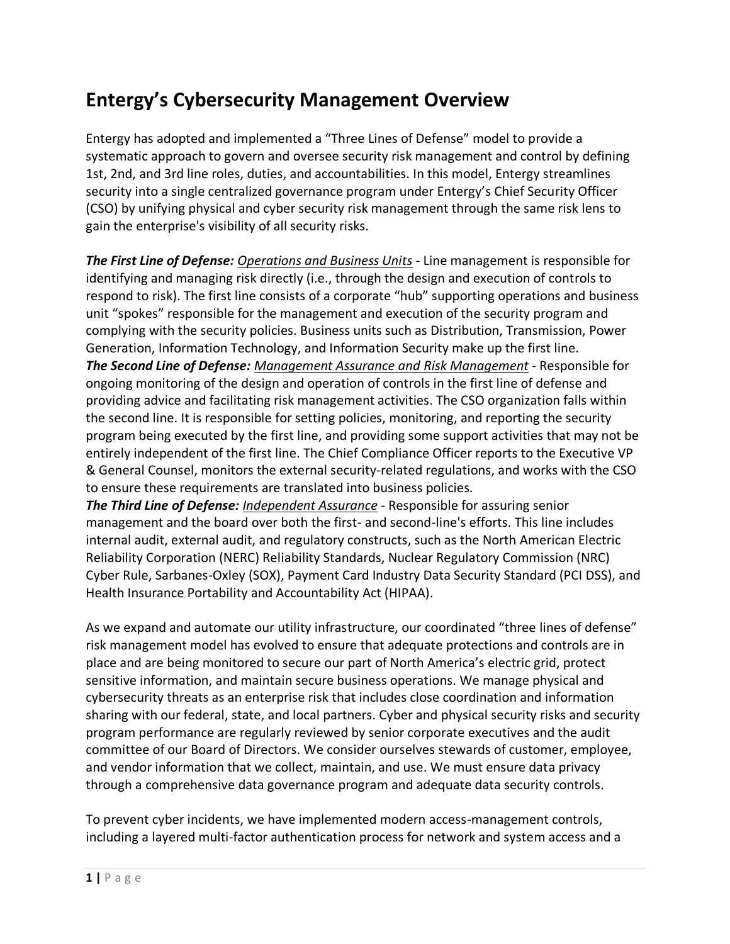## **Entergy's Cybersecurity Management Overview**

Entergy has adopted and implemented a "Three Lines of Defense" model to provide a systematic approach to govern and oversee security risk management and control by defining 1st, 2nd, and 3rd line roles, duties, and accountabilities. In this model, Entergy streamlines security into a single centralized governance program under Entergy's Chief Security Officer (CSO) by unifying physical and cyber security risk management through the same risk lens to gain the enterprise's visibility of all security risks.

*The First Line of Defense: Operations and Business Units* - Line management is responsible for identifying and managing risk directly (i.e., through the design and execution of controls to respond to risk). The first line consists of a corporate "hub" supporting operations and business unit "spokes" responsible for the management and execution of the security program and complying with the security policies. Business units such as Distribution, Transmission, Power Generation, Information Technology, and Information Security make up the first line. *The Second Line of Defense: Management Assurance and Risk Management* - Responsible for ongoing monitoring of the design and operation of controls in the first line of defense and providing advice and facilitating risk management activities. The CSO organization falls within the second line. It is responsible for setting policies, monitoring, and reporting the security program being executed by the first line, and providing some support activities that may not be entirely independent of the first line. The Chief Compliance Officer reports to the Executive VP & General Counsel, monitors the external security-related regulations, and works with the CSO to ensure these requirements are translated into business policies.

*The Third Line of Defense: Independent Assurance* - Responsible for assuring senior management and the board over both the first- and second-line's efforts. This line includes internal audit, external audit, and regulatory constructs, such as the North American Electric Reliability Corporation (NERC) Reliability Standards, Nuclear Regulatory Commission (NRC) Cyber Rule, Sarbanes-Oxley (SOX), Payment Card Industry Data Security Standard (PCI DSS), and Health Insurance Portability and Accountability Act (HIPAA).

As we expand and automate our utility infrastructure, our coordinated "three lines of defense" risk management model has evolved to ensure that adequate protections and controls are in place and are being monitored to secure our part of North America's electric grid, protect sensitive information, and maintain secure business operations. We manage physical and cybersecurity threats as an enterprise risk that includes close coordination and information sharing with our federal, state, and local partners. Cyber and physical security risks and security program performance are regularly reviewed by senior corporate executives and the audit committee of our Board of Directors. We consider ourselves stewards of customer, employee, and vendor information that we collect, maintain, and use. We must ensure data privacy through a comprehensive data governance program and adequate data security controls.

To prevent cyber incidents, we have implemented modern access-management controls, including a layered multi-factor authentication process for network and system access and a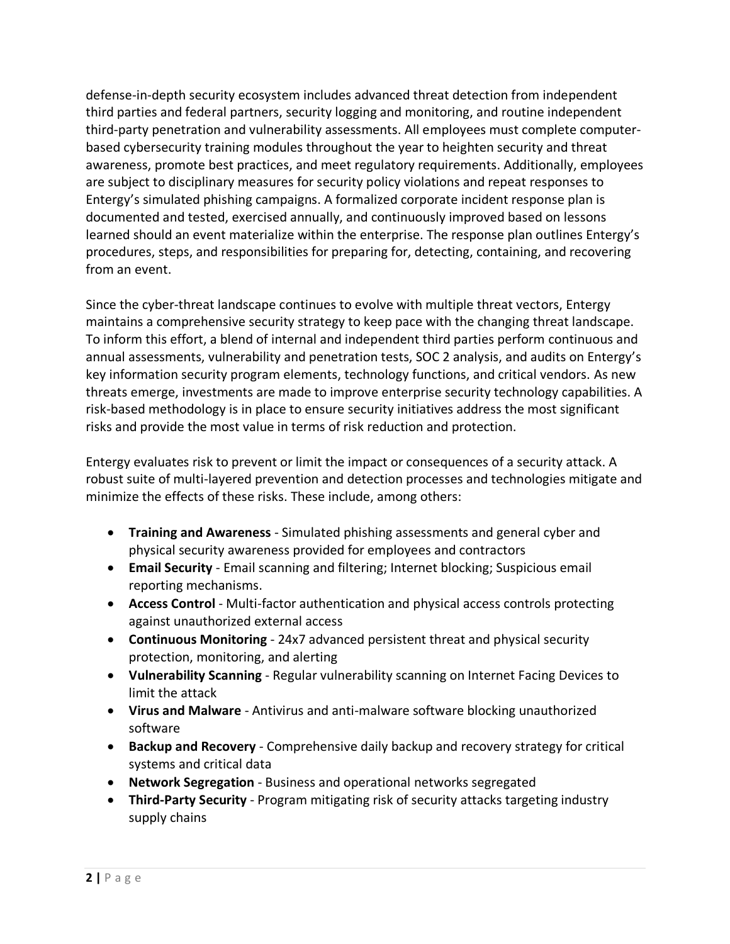defense-in-depth security ecosystem includes advanced threat detection from independent third parties and federal partners, security logging and monitoring, and routine independent third-party penetration and vulnerability assessments. All employees must complete computerbased cybersecurity training modules throughout the year to heighten security and threat awareness, promote best practices, and meet regulatory requirements. Additionally, employees are subject to disciplinary measures for security policy violations and repeat responses to Entergy's simulated phishing campaigns. A formalized corporate incident response plan is documented and tested, exercised annually, and continuously improved based on lessons learned should an event materialize within the enterprise. The response plan outlines Entergy's procedures, steps, and responsibilities for preparing for, detecting, containing, and recovering from an event.

Since the cyber-threat landscape continues to evolve with multiple threat vectors, Entergy maintains a comprehensive security strategy to keep pace with the changing threat landscape. To inform this effort, a blend of internal and independent third parties perform continuous and annual assessments, vulnerability and penetration tests, SOC 2 analysis, and audits on Entergy's key information security program elements, technology functions, and critical vendors. As new threats emerge, investments are made to improve enterprise security technology capabilities. A risk-based methodology is in place to ensure security initiatives address the most significant risks and provide the most value in terms of risk reduction and protection.

Entergy evaluates risk to prevent or limit the impact or consequences of a security attack. A robust suite of multi-layered prevention and detection processes and technologies mitigate and minimize the effects of these risks. These include, among others:

- **Training and Awareness** Simulated phishing assessments and general cyber and physical security awareness provided for employees and contractors
- **Email Security** Email scanning and filtering; Internet blocking; Suspicious email reporting mechanisms.
- **Access Control** Multi-factor authentication and physical access controls protecting against unauthorized external access
- **Continuous Monitoring** 24x7 advanced persistent threat and physical security protection, monitoring, and alerting
- **Vulnerability Scanning** Regular vulnerability scanning on Internet Facing Devices to limit the attack
- **Virus and Malware** Antivirus and anti-malware software blocking unauthorized software
- **Backup and Recovery** Comprehensive daily backup and recovery strategy for critical systems and critical data
- **Network Segregation** Business and operational networks segregated
- **Third-Party Security** Program mitigating risk of security attacks targeting industry supply chains